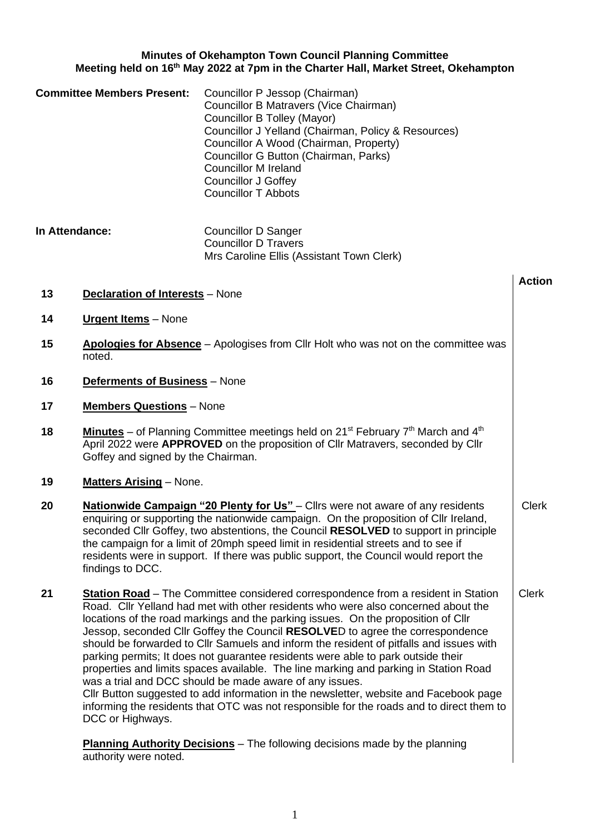# **Minutes of Okehampton Town Council Planning Committee Meeting held on 16th May 2022 at 7pm in the Charter Hall, Market Street, Okehampton**

| <b>Committee Members Present:</b> | Councillor P Jessop (Chairman)<br>Councillor B Matravers (Vice Chairman)<br>Councillor B Tolley (Mayor)<br>Councillor J Yelland (Chairman, Policy & Resources)<br>Councillor A Wood (Chairman, Property)<br>Councillor G Button (Chairman, Parks)<br><b>Councillor M Ireland</b><br><b>Councillor J Goffey</b><br><b>Councillor T Abbots</b> |
|-----------------------------------|----------------------------------------------------------------------------------------------------------------------------------------------------------------------------------------------------------------------------------------------------------------------------------------------------------------------------------------------|
|-----------------------------------|----------------------------------------------------------------------------------------------------------------------------------------------------------------------------------------------------------------------------------------------------------------------------------------------------------------------------------------------|

| In Attendance: | Councillor D Sanger                       |
|----------------|-------------------------------------------|
|                | Councillor D Travers                      |
|                | Mrs Caroline Ellis (Assistant Town Clerk) |

**Action 13 Declaration of Interests** – None **14 Urgent Items** – None **15 Apologies for Absence** – Apologises from Cllr Holt who was not on the committee was noted. **16 Deferments of Business** – None **17 Members Questions** – None **18 Minutes** – of Planning Committee meetings held on 21<sup>st</sup> February 7<sup>th</sup> March and 4<sup>th</sup> April 2022 were **APPROVED** on the proposition of Cllr Matravers, seconded by Cllr Goffey and signed by the Chairman. **19 Matters Arising** – None. **20 Nationwide Campaign "20 Plenty for Us"** – Cllrs were not aware of any residents enquiring or supporting the nationwide campaign. On the proposition of Cllr Ireland, seconded Cllr Goffey, two abstentions, the Council **RESOLVED** to support in principle the campaign for a limit of 20mph speed limit in residential streets and to see if residents were in support. If there was public support, the Council would report the findings to DCC. Clerk **21 Station Road** – The Committee considered correspondence from a resident in Station Road. Cllr Yelland had met with other residents who were also concerned about the locations of the road markings and the parking issues. On the proposition of Cllr Jessop, seconded Cllr Goffey the Council **RESOLVE**D to agree the correspondence should be forwarded to Cllr Samuels and inform the resident of pitfalls and issues with parking permits; It does not guarantee residents were able to park outside their properties and limits spaces available. The line marking and parking in Station Road was a trial and DCC should be made aware of any issues. Cllr Button suggested to add information in the newsletter, website and Facebook page informing the residents that OTC was not responsible for the roads and to direct them to DCC or Highways. Clerk

**Planning Authority Decisions** – The following decisions made by the planning authority were noted.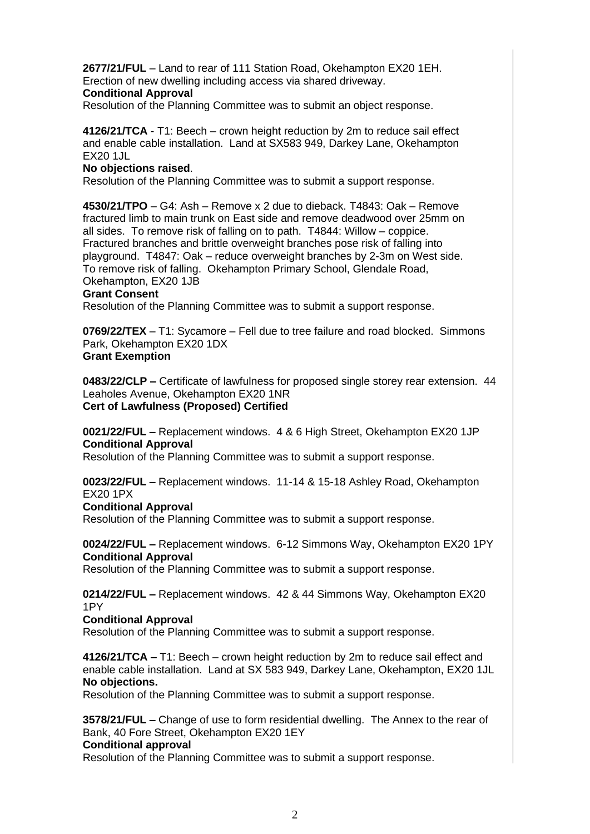**2677/21/FUL** – Land to rear of 111 Station Road, Okehampton EX20 1EH. Erection of new dwelling including access via shared driveway.

# **Conditional Approval**

Resolution of the Planning Committee was to submit an object response.

**4126/21/TCA** - T1: Beech – crown height reduction by 2m to reduce sail effect and enable cable installation. Land at SX583 949, Darkey Lane, Okehampton EX20 1JL

# **No objections raised**.

Resolution of the Planning Committee was to submit a support response.

**4530/21/TPO** – G4: Ash – Remove x 2 due to dieback. T4843: Oak – Remove fractured limb to main trunk on East side and remove deadwood over 25mm on all sides. To remove risk of falling on to path. T4844: Willow – coppice. Fractured branches and brittle overweight branches pose risk of falling into playground. T4847: Oak – reduce overweight branches by 2-3m on West side. To remove risk of falling. Okehampton Primary School, Glendale Road, Okehampton, EX20 1JB

### **Grant Consent**

Resolution of the Planning Committee was to submit a support response.

**0769/22/TEX** – T1: Sycamore – Fell due to tree failure and road blocked. Simmons Park, Okehampton EX20 1DX **Grant Exemption**

**0483/22/CLP –** Certificate of lawfulness for proposed single storey rear extension. 44 Leaholes Avenue, Okehampton EX20 1NR **Cert of Lawfulness (Proposed) Certified**

**0021/22/FUL –** Replacement windows. 4 & 6 High Street, Okehampton EX20 1JP **Conditional Approval**

Resolution of the Planning Committee was to submit a support response.

**0023/22/FUL –** Replacement windows. 11-14 & 15-18 Ashley Road, Okehampton EX20 1PX

### **Conditional Approval**

Resolution of the Planning Committee was to submit a support response.

**0024/22/FUL –** Replacement windows. 6-12 Simmons Way, Okehampton EX20 1PY **Conditional Approval**

Resolution of the Planning Committee was to submit a support response.

# **0214/22/FUL –** Replacement windows. 42 & 44 Simmons Way, Okehampton EX20 1PY

### **Conditional Approval**

Resolution of the Planning Committee was to submit a support response.

**4126/21/TCA –** T1: Beech – crown height reduction by 2m to reduce sail effect and enable cable installation. Land at SX 583 949, Darkey Lane, Okehampton, EX20 1JL **No objections.**

Resolution of the Planning Committee was to submit a support response.

**3578/21/FUL –** Change of use to form residential dwelling. The Annex to the rear of Bank, 40 Fore Street, Okehampton EX20 1EY

### **Conditional approval**

Resolution of the Planning Committee was to submit a support response.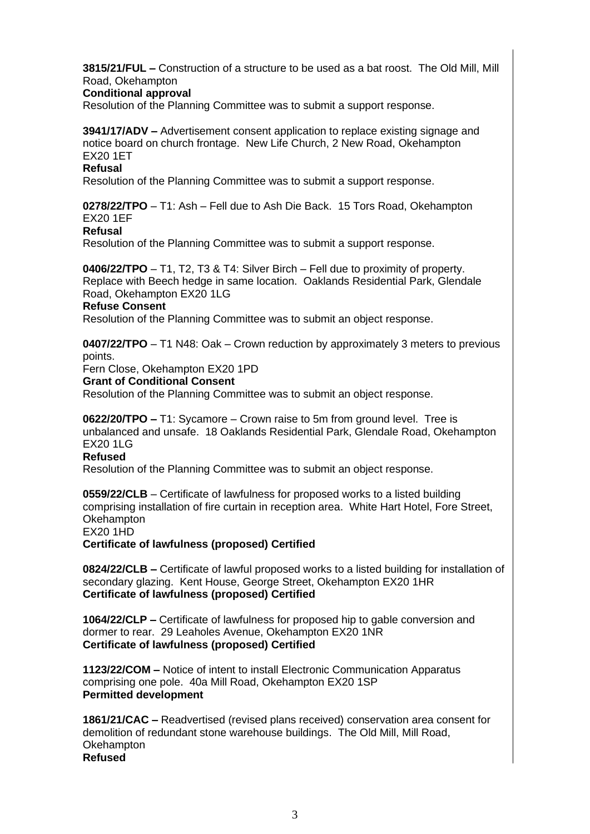**3815/21/FUL –** Construction of a structure to be used as a bat roost. The Old Mill, Mill Road, Okehampton

### **Conditional approval**

Resolution of the Planning Committee was to submit a support response.

**3941/17/ADV –** Advertisement consent application to replace existing signage and notice board on church frontage. New Life Church, 2 New Road, Okehampton EX20 1ET

## **Refusal**

Resolution of the Planning Committee was to submit a support response.

**0278/22/TPO** – T1: Ash – Fell due to Ash Die Back. 15 Tors Road, Okehampton EX20 1EF

# **Refusal**

Resolution of the Planning Committee was to submit a support response.

**0406/22/TPO** – T1, T2, T3 & T4: Silver Birch – Fell due to proximity of property. Replace with Beech hedge in same location. Oaklands Residential Park, Glendale Road, Okehampton EX20 1LG **Refuse Consent**

Resolution of the Planning Committee was to submit an object response.

**0407/22/TPO** – T1 N48: Oak – Crown reduction by approximately 3 meters to previous points.

Fern Close, Okehampton EX20 1PD

### **Grant of Conditional Consent**

Resolution of the Planning Committee was to submit an object response.

**0622/20/TPO –** T1: Sycamore – Crown raise to 5m from ground level. Tree is unbalanced and unsafe. 18 Oaklands Residential Park, Glendale Road, Okehampton EX20 1LG

# **Refused**

Resolution of the Planning Committee was to submit an object response.

**0559/22/CLB** – Certificate of lawfulness for proposed works to a listed building comprising installation of fire curtain in reception area. White Hart Hotel, Fore Street, **Okehampton** EX20 1HD

**Certificate of lawfulness (proposed) Certified**

**0824/22/CLB –** Certificate of lawful proposed works to a listed building for installation of secondary glazing. Kent House, George Street, Okehampton EX20 1HR **Certificate of lawfulness (proposed) Certified**

**1064/22/CLP –** Certificate of lawfulness for proposed hip to gable conversion and dormer to rear. 29 Leaholes Avenue, Okehampton EX20 1NR **Certificate of lawfulness (proposed) Certified**

**1123/22/COM –** Notice of intent to install Electronic Communication Apparatus comprising one pole. 40a Mill Road, Okehampton EX20 1SP **Permitted development**

**1861/21/CAC –** Readvertised (revised plans received) conservation area consent for demolition of redundant stone warehouse buildings. The Old Mill, Mill Road, **Okehampton Refused**